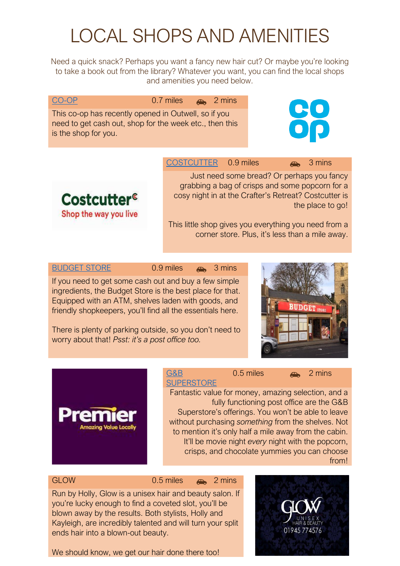# LOCAL SHOPS AND AMENITIES

Need a quick snack? Perhaps you want a fancy new hair cut? Or maybe you're looking to take a book out from the library? Whatever you want, you can find the local shops and amenities you need below.

| 0.7 miles | $\bigoplus$ | 2 mins |
|-----------|-------------|--------|
|-----------|-------------|--------|

This co-op has recently opened in Outwell, so if you need to get cash out, shop for the week etc., then this is the shop for you.



[COSTCUTTER](https://outwell.cylex-uk.co.uk/company/costcutter-13609437.html) 0.9 miles 3 mins

Just need some bread? Or perhaps you fancy grabbing a bag of crisps and some popcorn for a cosy night in at the Crafter's Retreat? Costcutter is the place to go!

This little shop gives you everything you need from a corner store. Plus, it's less than a mile away.

## [BUDGET STORE](https://www.facebook.com/groups/upwelloutwellneighbourhoodwatch/permalink/2617529418504092/) 0.9 miles 3 mins

Costcutter<sup>e</sup>

Shop the way you live

[CO-OP](https://www.openingtimesin.uk/co-op-food-outwell)

If you need to get some cash out and buy a few simple ingredients, the Budget Store is the best place for that. Equipped with an ATM, shelves laden with goods, and friendly shopkeepers, you'll find all the essentials here.

There is plenty of parking outside, so you don't need to worry about that! *Psst: it's a post office too.*





[G&B](https://www.premier-stores.co.uk/our-stores/gb-superstore)  **[SUPERSTORE](https://www.premier-stores.co.uk/our-stores/gb-superstore)**  $0.5$  miles  $\rightarrow$  2 mins

Fantastic value for money, amazing selection, and a fully functioning post office are the G&B Superstore's offerings. You won't be able to leave without purchasing *something* from the shelves. Not to mention it's only half a mile away from the cabin. It'll be movie night *every* night with the popcorn, crisps, and chocolate yummies you can choose from!

GLOW 0.5 miles 2 mins

Run by Holly, Glow is a unisex hair and beauty salon. If you're lucky enough to find a coveted slot, you'll be blown away by the results. Both stylists, Holly and Kayleigh, are incredibly talented and will turn your split ends hair into a blown-out beauty.

We should know, we get our hair done there too!

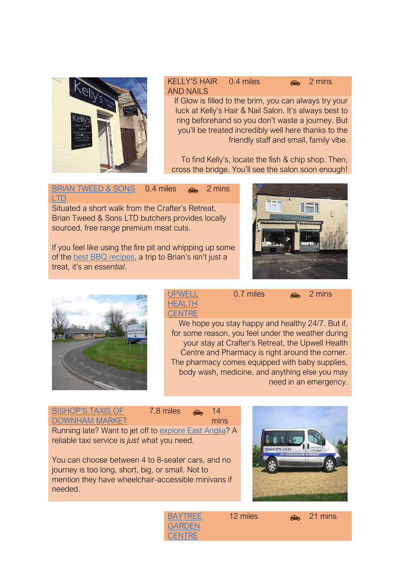

### KELLY'S HAIR AND NAILS 0.4 miles **2 mins**

If Glow is filled to the brim, you can always try your luck at Kelly's Hair & Nail Salon. It's always best to ring beforehand so you don't waste a journey. But you'll be treated incredibly well here thanks to the friendly staff and small, family vibe.

To find Kelly's, locate the fish & chip shop. Then, cross the bridge. You'll see the salon soon enough!

[BRIAN TWEED & SONS](https://en-gb.facebook.com/pages/category/Butcher-Shop/Brian-Tweed-Son-Ltd-365996273756393/)  [LTD](https://en-gb.facebook.com/pages/category/Butcher-Shop/Brian-Tweed-Son-Ltd-365996273756393/)  $0.4$  miles  $\rightarrow$  2 mins

Situated a short walk from the Crafter's Retreat, Brian Tweed & Sons LTD butchers provides locally sourced, free range premium meat cuts.

If you feel like using the fire pit and whipping up some of the [best BBQ recipes](https://www.craftersretreat.co.uk/post/the-best-fire-pit-recipes), a trip to Brian's isn't just a treat, it's an *essential*.





[UPWELL](https://www.upwellhealthcentre.nhs.uk/)  [HEALTH](https://www.upwellhealthcentre.nhs.uk/)  **[CENTRE](https://www.upwellhealthcentre.nhs.uk/)**  $0.7$  miles  $\rightarrow$  2 mins

We hope you stay happy and healthy 24/7. But if, for some reason, you feel under the weather during your stay at Crafter's Retreat, the Upwell Health Centre and Pharmacy is right around the corner. The pharmacy comes equipped with baby supplies, body wash, medicine, and anything else you may need in an emergency.



You can choose between 4 to 8-seater cars, and no journey is too long, short, big, or small. Not to mention they have wheelchair-accessible minivans if needed.



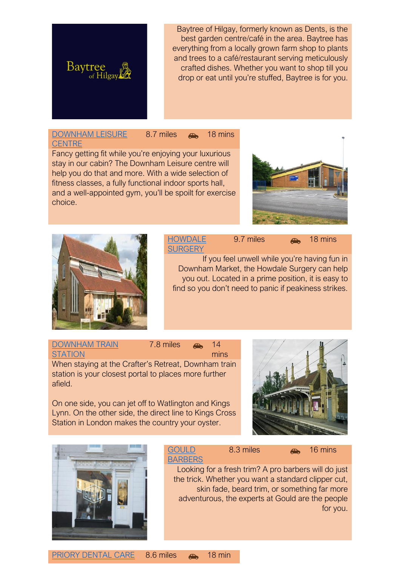

Baytree of Hilgay, formerly known as Dents, is the best garden centre/café in the area. Baytree has everything from a locally grown farm shop to plants and trees to a café/restaurant serving meticulously crafted dishes. Whether you want to shop till you drop or eat until you're stuffed, Baytree is for you.

#### [DOWNHAM LEISURE](https://www.1life.co.uk/Downham-Health-and-Leisure-Centre/)  **[CENTRE](https://www.1life.co.uk/Downham-Health-and-Leisure-Centre/)** 8.7 miles **3.4** 18 mins

Fancy getting fit while you're enjoying your luxurious stay in our cabin? The Downham Leisure centre will help you do that and more. With a wide selection of fitness classes, a fully functional indoor sports hall, and a well-appointed gym, you'll be spoilt for exercise choice.





### **HOWDALE [SURGERY](https://www.howdalesurgery.co.uk/)** 9.7 miles **A** 18 mins

If you feel unwell while you're having fun in Downham Market, the Howdale Surgery can help you out. Located in a prime position, it is easy to find so you don't need to panic if peakiness strikes.

[DOWNHAM TRAIN](https://www.greatnorthernrail.com/travel-information/plan-your-journey/station-information/stations/downham-market)  **[STATION](https://www.greatnorthernrail.com/travel-information/plan-your-journey/station-information/stations/downham-market)** 7.8 miles **6** 14 mins When staying at the Crafter's Retreat, Downham train station is your closest portal to places more further afield.

On one side, you can jet off to Watlington and Kings Lynn. On the other side, the direct line to Kings Cross Station in London makes the country your oyster.





#### **GOULD [BARBERS](https://www.gouldbarbers.co.uk/)** 8.3 miles **and** 16 mins

Looking for a fresh trim? A pro barbers will do just the trick. Whether you want a standard clipper cut, skin fade, beard trim, or something far more adventurous, the experts at Gould are the people

for you.

[PRIORY DENTAL CARE](http://www.priory-dental.co.uk/) 8.6 miles  $\rightarrow$  18 min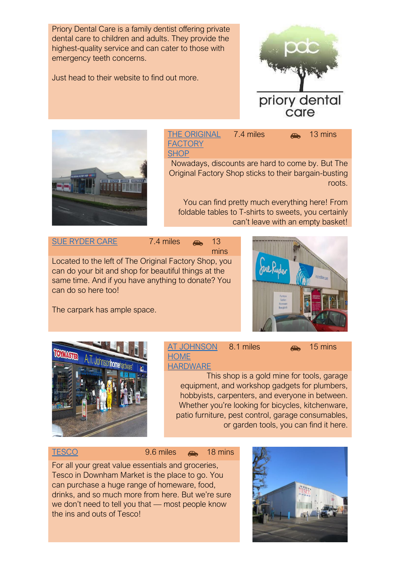Priory Dental Care is a family dentist offering private dental care to children and adults. They provide the highest-quality service and can cater to those with emergency teeth concerns.

Just head to their website to find out more.





[THE ORIGINAL](https://www.facebook.com/tofsdownhammarket/)  **FACTORY [SHOP](https://www.facebook.com/tofsdownhammarket/)**  $7.4 \text{ miles}$   $\rightarrow$  13 mins

Nowadays, discounts are hard to come by. But The Original Factory Shop sticks to their bargain-busting roots.

You can find pretty much everything here! From foldable tables to T-shirts to sweets, you certainly can't leave with an empty basket!

[SUE RYDER CARE](https://www.sueryder.org/support-us/shop-with-us/our-shops/downham-market-furniture) 7.4 miles  $\bullet$  13

mins Located to the left of The Original Factory Shop, you can do your bit and shop for beautiful things at the same time. And if you have anything to donate? You can do so here too!



The carpark has ample space.



[AT JOHNSON](http://www.atjohnson.co.uk/)  **HOME [HARDWARE](http://www.atjohnson.co.uk/)** 8.1 miles **A** 15 mins

This shop is a gold mine for tools, garage equipment, and workshop gadgets for plumbers, hobbyists, carpenters, and everyone in between. Whether you're looking for bicycles, kitchenware, patio furniture, pest control, garage consumables, or garden tools, you can find it here.

[TESCO](https://www.tesco.com/store-locator/downham-market/london-rd) 9.6 miles  $\bullet$  18 mins

For all your great value essentials and groceries, Tesco in Downham Market is the place to go. You can purchase a huge range of homeware, food, drinks, and so much more from here. But we're sure we don't need to tell you that — most people know the ins and outs of Tesco!

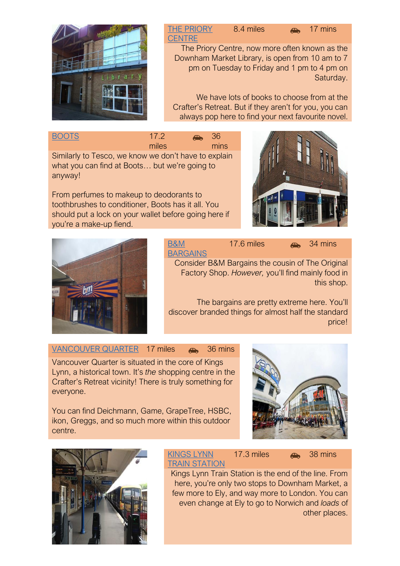

### [THE PRIORY](https://www.norfolk.gov.uk/libraries-local-history-and-archives/libraries/your-local-library/locations-and-opening-times/downham-market)  **[CENTRE](https://www.norfolk.gov.uk/libraries-local-history-and-archives/libraries/your-local-library/locations-and-opening-times/downham-market)** 8.4 miles **a** 17 mins

The Priory Centre, now more often known as the Downham Market Library, is open from 10 am to 7 pm on Tuesday to Friday and 1 pm to 4 pm on Saturday.

We have lots of books to choose from at the Crafter's Retreat. But if they aren't for you, you can always pop here to find your next favourite novel.

| <b>BOOTS</b>                       |  |  |  | 17.2                                                                            | a. | - 36 |
|------------------------------------|--|--|--|---------------------------------------------------------------------------------|----|------|
|                                    |  |  |  | miles                                                                           |    | mins |
| $\sim$ $\sim$ $\sim$ $\sim$ $\sim$ |  |  |  | the contract of the contract of the contract of the contract of the contract of |    | . .  |

Similarly to Tesco, we know we don't have to explain what you can find at Boots… but we're going to anyway!

From perfumes to makeup to deodorants to toothbrushes to conditioner, Boots has it all. You should put a lock on your wallet before going here if you're a make-up fiend.





[B&M](https://www.bmstores.co.uk/stores/kings-lynn-pierpoint-retail-park-63)  [BARGAINS](https://www.bmstores.co.uk/stores/kings-lynn-pierpoint-retail-park-63) 17.6 miles **34 mins** 

Consider B&M Bargains the cousin of The Original Factory Shop. *However,* you'll find mainly food in this shop.

The bargains are pretty extreme here. You'll discover branded things for almost half the standard price!

[VANCOUVER QUARTER](https://vancouverquarter.com/) 17 miles  $\rightarrow$  36 mins

Vancouver Quarter is situated in the core of Kings Lynn, a historical town. It's *the* shopping centre in the Crafter's Retreat vicinity! There is truly something for everyone.

You can find Deichmann, Game, GrapeTree, HSBC, ikon, Greggs, and so much more within this outdoor centre.





#### [KINGS LYNN](https://www.greateranglia.co.uk/travel-information/station-information/kln)  [TRAIN STATION](https://www.greateranglia.co.uk/travel-information/station-information/kln) 17.3 miles **38 mins**

Kings Lynn Train Station is the end of the line. From here, you're only two stops to Downham Market, a few more to Ely, and way more to London. You can even change at Ely to go to Norwich and *loads* of other places.